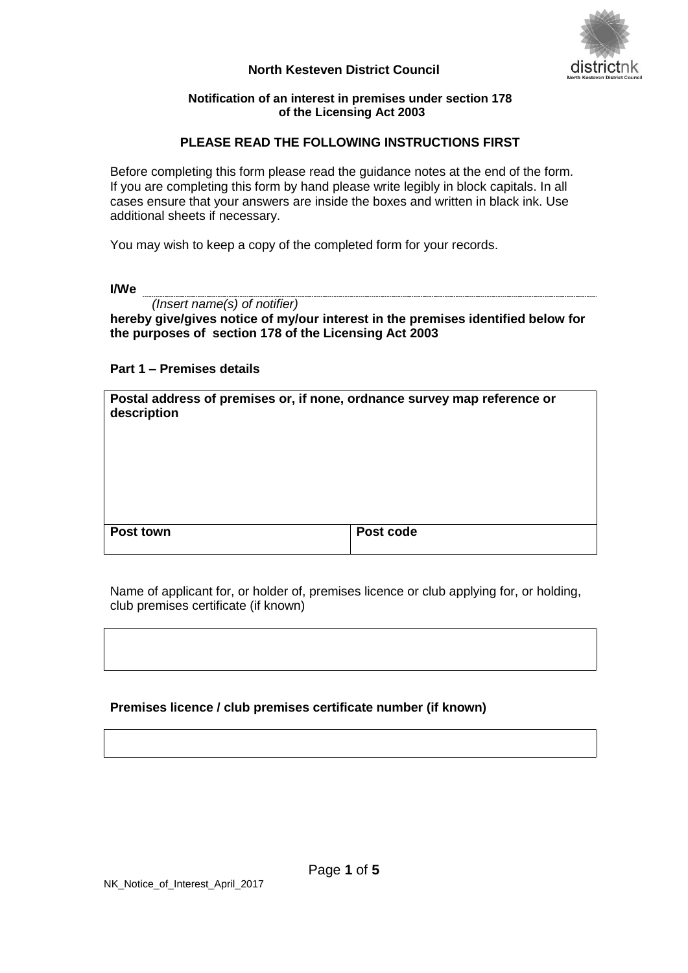### **North Kesteven District Council**



### **Notification of an interest in premises under section 178 of the Licensing Act 2003**

# **PLEASE READ THE FOLLOWING INSTRUCTIONS FIRST**

Before completing this form please read the guidance notes at the end of the form. If you are completing this form by hand please write legibly in block capitals. In all cases ensure that your answers are inside the boxes and written in black ink. Use additional sheets if necessary.

You may wish to keep a copy of the completed form for your records.

**I/We** 

*(Insert name(s) of notifier)*

**hereby give/gives notice of my/our interest in the premises identified below for the purposes of section 178 of the Licensing Act 2003**

# **Part 1 – Premises details**

| Postal address of premises or, if none, ordnance survey map reference or<br>description |           |
|-----------------------------------------------------------------------------------------|-----------|
| Post town                                                                               | Post code |

Name of applicant for, or holder of, premises licence or club applying for, or holding, club premises certificate (if known)

# **Premises licence / club premises certificate number (if known)**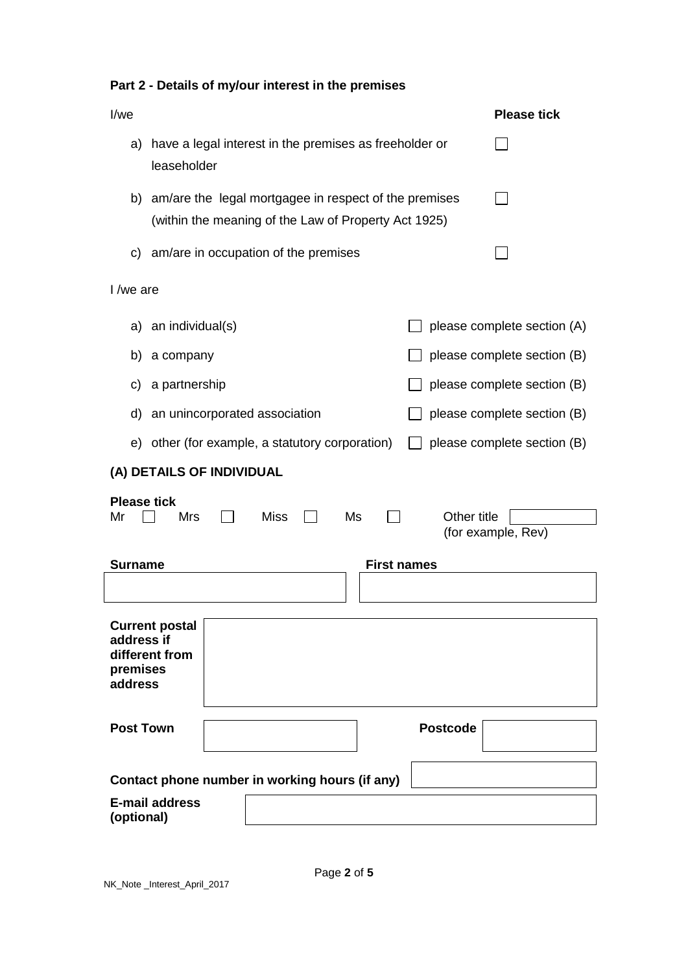| I/we                                                                                                             | <b>Please tick</b>          |  |
|------------------------------------------------------------------------------------------------------------------|-----------------------------|--|
| have a legal interest in the premises as freeholder or<br>a)<br>leaseholder                                      |                             |  |
| b) am/are the legal mortgagee in respect of the premises<br>(within the meaning of the Law of Property Act 1925) |                             |  |
| c) am/are in occupation of the premises                                                                          |                             |  |
| I /we are                                                                                                        |                             |  |
| an individual(s)<br>a)                                                                                           | please complete section (A) |  |
| a company<br>b)                                                                                                  | please complete section (B) |  |
| a partnership<br>C)                                                                                              | please complete section (B) |  |
| an unincorporated association<br>d)                                                                              | please complete section (B) |  |
| e) other (for example, a statutory corporation)                                                                  | please complete section (B) |  |
| (A) DETAILS OF INDIVIDUAL                                                                                        |                             |  |
| <b>Please tick</b><br><b>Miss</b><br>Other title<br>Mr<br><b>Mrs</b><br>Ms                                       | (for example, Rev)          |  |
| <b>First names</b><br><b>Surname</b>                                                                             |                             |  |
|                                                                                                                  |                             |  |
| <b>Current postal</b><br>address if<br>different from<br>premises<br>address                                     |                             |  |
| <b>Post Town</b><br><b>Postcode</b>                                                                              |                             |  |
| Contact phone number in working hours (if any)                                                                   |                             |  |
| <b>E-mail address</b><br>(optional)                                                                              |                             |  |

**Part 2 - Details of my/our interest in the premises**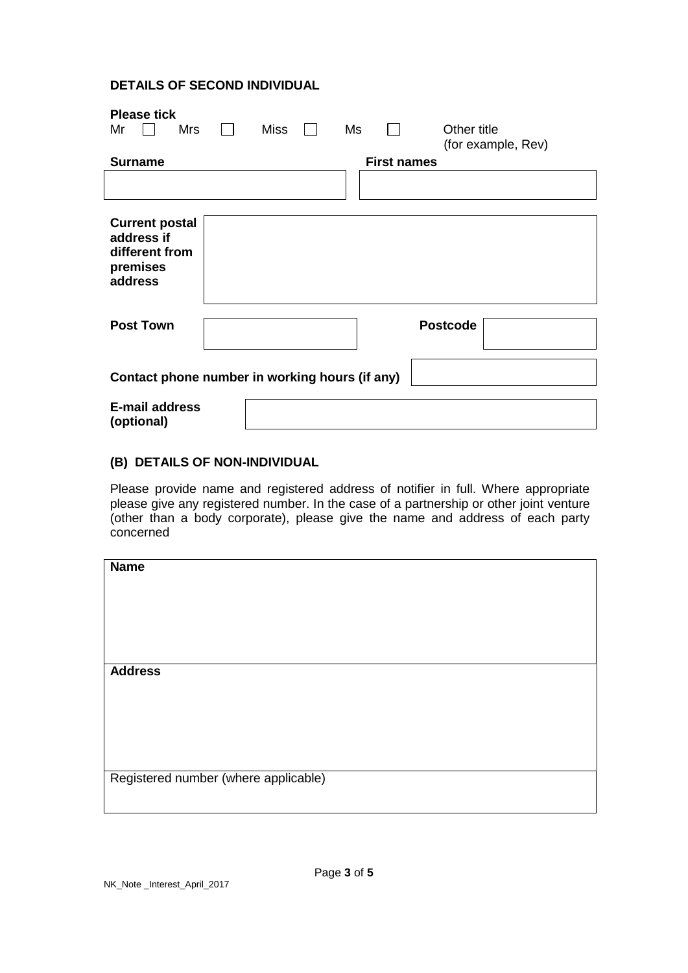# **DETAILS OF SECOND INDIVIDUAL**

| <b>Please tick</b>                             |             |                    |                    |
|------------------------------------------------|-------------|--------------------|--------------------|
| Mr<br>Mrs                                      | <b>Miss</b> | Ms                 | Other title        |
|                                                |             |                    | (for example, Rev) |
| <b>Surname</b>                                 |             | <b>First names</b> |                    |
|                                                |             |                    |                    |
| <b>Current postal</b>                          |             |                    |                    |
| address if                                     |             |                    |                    |
| different from                                 |             |                    |                    |
| premises                                       |             |                    |                    |
| address                                        |             |                    |                    |
|                                                |             |                    |                    |
| <b>Post Town</b>                               |             |                    | <b>Postcode</b>    |
|                                                |             |                    |                    |
|                                                |             |                    |                    |
| Contact phone number in working hours (if any) |             |                    |                    |
|                                                |             |                    |                    |
| <b>E-mail address</b>                          |             |                    |                    |
| (optional)                                     |             |                    |                    |

### **(B) DETAILS OF NON-INDIVIDUAL**

Please provide name and registered address of notifier in full. Where appropriate please give any registered number. In the case of a partnership or other joint venture (other than a body corporate), please give the name and address of each party concerned

| <b>Name</b>                          |  |
|--------------------------------------|--|
|                                      |  |
|                                      |  |
|                                      |  |
|                                      |  |
|                                      |  |
|                                      |  |
|                                      |  |
|                                      |  |
|                                      |  |
|                                      |  |
|                                      |  |
| <b>Address</b>                       |  |
|                                      |  |
|                                      |  |
|                                      |  |
|                                      |  |
|                                      |  |
|                                      |  |
|                                      |  |
|                                      |  |
|                                      |  |
|                                      |  |
|                                      |  |
| Registered number (where applicable) |  |
|                                      |  |
|                                      |  |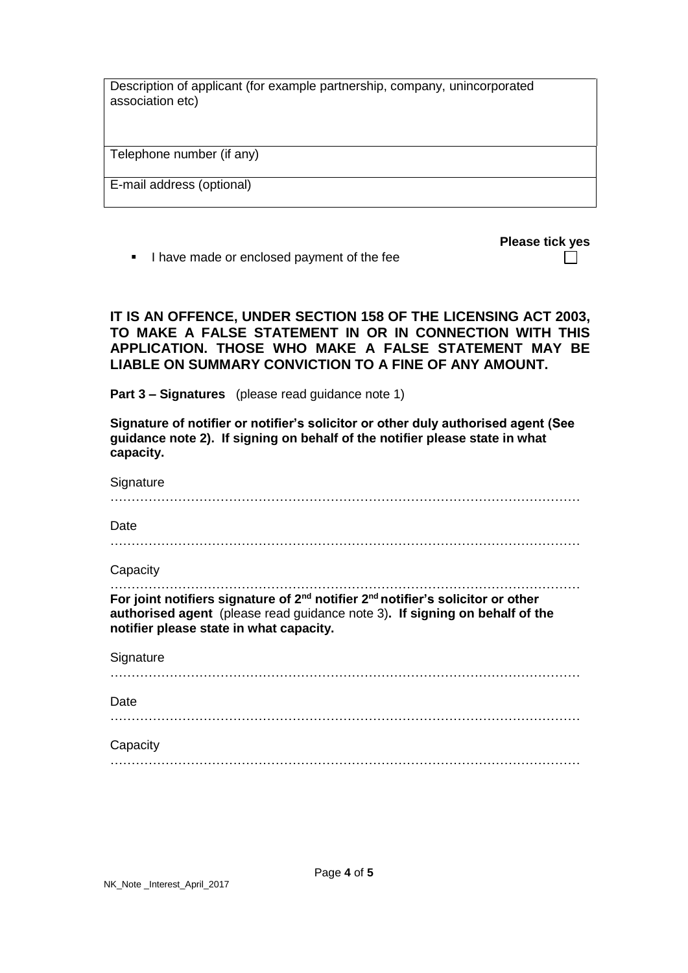Description of applicant (for example partnership, company, unincorporated association etc)

Telephone number (if any)

E-mail address (optional)

I have made or enclosed payment of the fee

| <b>Please tick yes</b> |  |
|------------------------|--|
|                        |  |

# **IT IS AN OFFENCE, UNDER SECTION 158 OF THE LICENSING ACT 2003, TO MAKE A FALSE STATEMENT IN OR IN CONNECTION WITH THIS APPLICATION. THOSE WHO MAKE A FALSE STATEMENT MAY BE LIABLE ON SUMMARY CONVICTION TO A FINE OF ANY AMOUNT.**

**Part 3 – Signatures** (please read guidance note 1)

**Signature of notifier or notifier's solicitor or other duly authorised agent (See guidance note 2). If signing on behalf of the notifier please state in what capacity.**

| Date                                                                                                                                                                                                                              |  |
|-----------------------------------------------------------------------------------------------------------------------------------------------------------------------------------------------------------------------------------|--|
| Capacity                                                                                                                                                                                                                          |  |
| For joint notifiers signature of 2 <sup>nd</sup> notifier 2 <sup>nd</sup> notifier's solicitor or other<br>authorised agent (please read guidance note 3). If signing on behalf of the<br>notifier please state in what capacity. |  |
|                                                                                                                                                                                                                                   |  |
| Signature                                                                                                                                                                                                                         |  |
| Date                                                                                                                                                                                                                              |  |